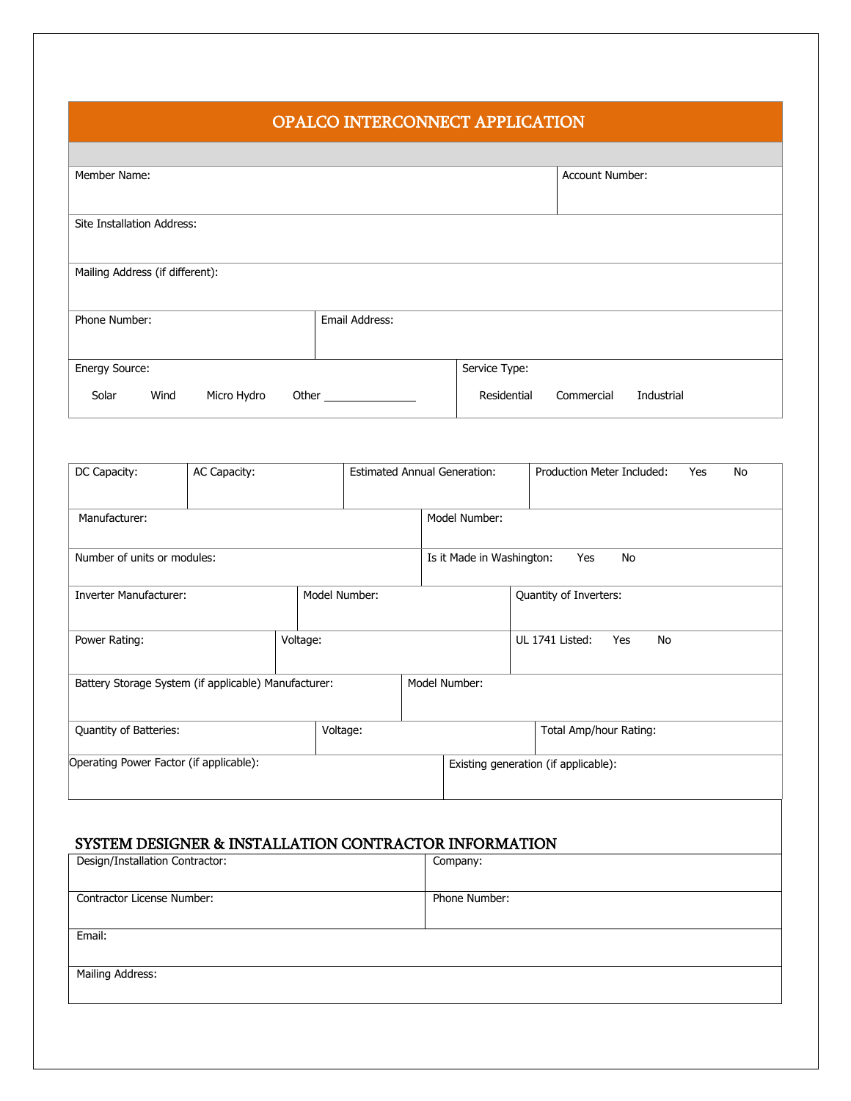# OPALCO INTERCONNECT APPLICATION

| Member Name:                    |                |               | <b>Account Number:</b> |            |  |
|---------------------------------|----------------|---------------|------------------------|------------|--|
|                                 |                |               |                        |            |  |
| Site Installation Address:      |                |               |                        |            |  |
|                                 |                |               |                        |            |  |
| Mailing Address (if different): |                |               |                        |            |  |
|                                 |                |               |                        |            |  |
| Phone Number:                   | Email Address: |               |                        |            |  |
|                                 |                |               |                        |            |  |
| Energy Source:                  |                | Service Type: |                        |            |  |
| Micro Hydro<br>Solar<br>Wind    | Other          | Residential   | Commercial             | Industrial |  |

| DC Capacity:                                                          | AC Capacity:  |          | <b>Estimated Annual Generation:</b> |                                        |                              |  | Production Meter Included:<br>No<br>Yes |  |
|-----------------------------------------------------------------------|---------------|----------|-------------------------------------|----------------------------------------|------------------------------|--|-----------------------------------------|--|
| Manufacturer:                                                         |               |          |                                     | Model Number:                          |                              |  |                                         |  |
| Number of units or modules:                                           |               |          |                                     | Is it Made in Washington:<br>Yes<br>No |                              |  |                                         |  |
| Inverter Manufacturer:                                                | Model Number: |          |                                     | Quantity of Inverters:                 |                              |  |                                         |  |
| Power Rating:                                                         |               | Voltage: |                                     |                                        | UL 1741 Listed:<br>No<br>Yes |  |                                         |  |
| Battery Storage System (if applicable) Manufacturer:<br>Model Number: |               |          |                                     |                                        |                              |  |                                         |  |
| Quantity of Batteries:<br>Voltage:                                    |               |          | Total Amp/hour Rating:              |                                        |                              |  |                                         |  |
| Operating Power Factor (if applicable):                               |               |          |                                     | Existing generation (if applicable):   |                              |  |                                         |  |

## SYSTEM DESIGNER & INSTALLATION CONTRACTOR INFORMATION

 $\overline{a}$ 

| Company:      |
|---------------|
|               |
| Phone Number: |
|               |
|               |
|               |
|               |
|               |